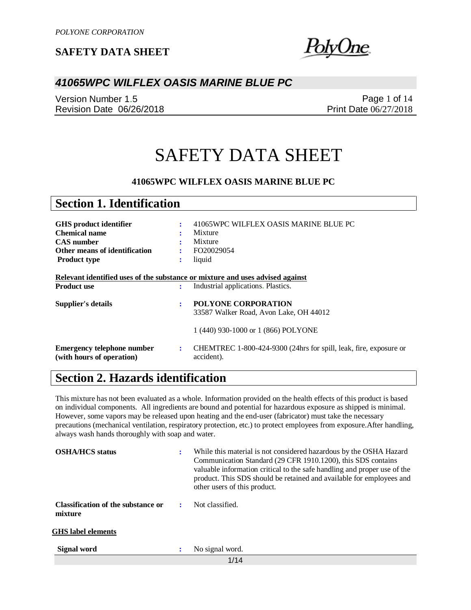<u>hne</u>

## *41065WPC WILFLEX OASIS MARINE BLUE PC*

Version Number 1.5 Revision Date 06/26/2018

Page 1 of 14 Print Date 06/27/2018

# SAFETY DATA SHEET

### **41065WPC WILFLEX OASIS MARINE BLUE PC**

| <b>Section 1. Identification</b>                                              |        |                                                                                 |
|-------------------------------------------------------------------------------|--------|---------------------------------------------------------------------------------|
| <b>GHS</b> product identifier<br><b>Chemical name</b>                         | ÷      | 41065WPC WILFLEX OASIS MARINE BLUE PC<br>Mixture                                |
| <b>CAS</b> number<br>Other means of identification                            | ٠<br>÷ | Mixture<br>FO20029054                                                           |
| <b>Product type</b>                                                           | ٠      | liquid                                                                          |
| Relevant identified uses of the substance or mixture and uses advised against |        |                                                                                 |
| <b>Product use</b>                                                            | ÷      | Industrial applications. Plastics.                                              |
| Supplier's details                                                            | ÷      | <b>POLYONE CORPORATION</b><br>33587 Walker Road, Avon Lake, OH 44012            |
|                                                                               |        | 1 (440) 930-1000 or 1 (866) POLYONE                                             |
| <b>Emergency telephone number</b><br>(with hours of operation)                | ÷      | CHEMTREC 1-800-424-9300 (24hrs for spill, leak, fire, exposure or<br>accident). |

# **Section 2. Hazards identification**

This mixture has not been evaluated as a whole. Information provided on the health effects of this product is based on individual components. All ingredients are bound and potential for hazardous exposure as shipped is minimal. However, some vapors may be released upon heating and the end-user (fabricator) must take the necessary precautions (mechanical ventilation, respiratory protection, etc.) to protect employees from exposure.After handling, always wash hands thoroughly with soap and water.

| <b>OSHA/HCS</b> status                        |   | While this material is not considered hazardous by the OSHA Hazard<br>Communication Standard (29 CFR 1910.1200), this SDS contains<br>valuable information critical to the safe handling and proper use of the<br>product. This SDS should be retained and available for employees and<br>other users of this product. |
|-----------------------------------------------|---|------------------------------------------------------------------------------------------------------------------------------------------------------------------------------------------------------------------------------------------------------------------------------------------------------------------------|
| Classification of the substance or<br>mixture |   | Not classified.                                                                                                                                                                                                                                                                                                        |
| <b>GHS</b> label elements                     |   |                                                                                                                                                                                                                                                                                                                        |
| Signal word                                   | : | No signal word.                                                                                                                                                                                                                                                                                                        |
|                                               |   | 1/14                                                                                                                                                                                                                                                                                                                   |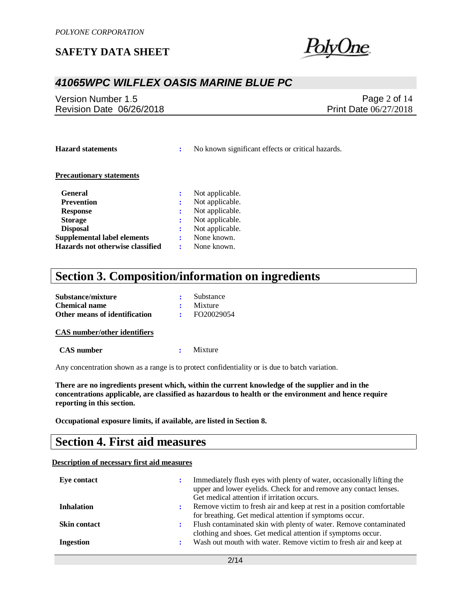me.

## *41065WPC WILFLEX OASIS MARINE BLUE PC*

Version Number 1.5 Revision Date 06/26/2018

Page 2 of 14 Print Date 06/27/2018

**Hazard statements :** No known significant effects or critical hazards.

### **Precautionary statements**

| <b>General</b>                     | Not applicable. |
|------------------------------------|-----------------|
| <b>Prevention</b>                  | Not applicable. |
| <b>Response</b>                    | Not applicable. |
| <b>Storage</b>                     | Not applicable. |
| <b>Disposal</b>                    | Not applicable. |
| <b>Supplemental label elements</b> | None known.     |
| Hazards not otherwise classified   | None known.     |

# **Section 3. Composition/information on ingredients**

| Substance/mixture             | Substance       |
|-------------------------------|-----------------|
| <b>Chemical name</b>          | $\cdot$ Mixture |
| Other means of identification | FO20029054      |

#### **CAS number/other identifiers**

 **CAS number :** Mixture

Any concentration shown as a range is to protect confidentiality or is due to batch variation.

**There are no ingredients present which, within the current knowledge of the supplier and in the concentrations applicable, are classified as hazardous to health or the environment and hence require reporting in this section.**

**Occupational exposure limits, if available, are listed in Section 8.**

## **Section 4. First aid measures**

### **Description of necessary first aid measures**

| Eye contact         |   | Immediately flush eyes with plenty of water, occasionally lifting the<br>upper and lower eyelids. Check for and remove any contact lenses.<br>Get medical attention if irritation occurs. |
|---------------------|---|-------------------------------------------------------------------------------------------------------------------------------------------------------------------------------------------|
| <b>Inhalation</b>   | : | Remove victim to fresh air and keep at rest in a position comfortable<br>for breathing. Get medical attention if symptoms occur.                                                          |
| <b>Skin contact</b> | ÷ | Flush contaminated skin with plenty of water. Remove contaminated<br>clothing and shoes. Get medical attention if symptoms occur.                                                         |
| <b>Ingestion</b>    |   | Wash out mouth with water. Remove victim to fresh air and keep at                                                                                                                         |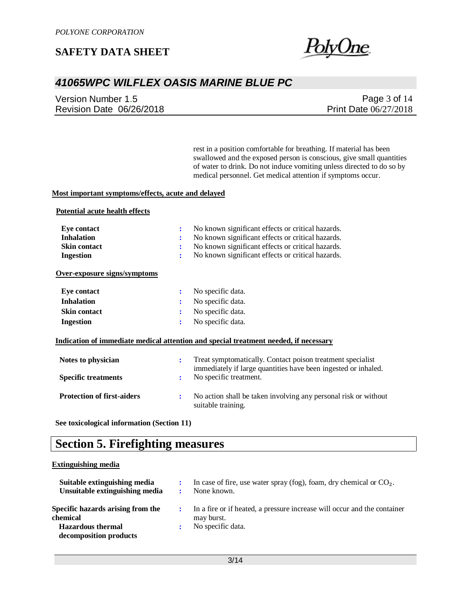

# *41065WPC WILFLEX OASIS MARINE BLUE PC*

Version Number 1.5 Revision Date 06/26/2018

Page 3 of 14 Print Date 06/27/2018

rest in a position comfortable for breathing. If material has been swallowed and the exposed person is conscious, give small quantities of water to drink. Do not induce vomiting unless directed to do so by medical personnel. Get medical attention if symptoms occur.

### **Most important symptoms/effects, acute and delayed**

### **Potential acute health effects**

| Eye contact                       | No known significant effects or critical hazards.<br>÷                                                                            |
|-----------------------------------|-----------------------------------------------------------------------------------------------------------------------------------|
| <b>Inhalation</b>                 | No known significant effects or critical hazards.<br>÷                                                                            |
| <b>Skin contact</b>               | No known significant effects or critical hazards.<br>:                                                                            |
| <b>Ingestion</b>                  | No known significant effects or critical hazards.<br>÷                                                                            |
| Over-exposure signs/symptoms      |                                                                                                                                   |
| <b>Eye contact</b>                | No specific data.<br>$\ddot{\cdot}$                                                                                               |
| <b>Inhalation</b>                 | No specific data.<br>÷                                                                                                            |
| <b>Skin contact</b>               | No specific data.<br>÷                                                                                                            |
| <b>Ingestion</b>                  | No specific data.<br>÷                                                                                                            |
|                                   | Indication of immediate medical attention and special treatment needed, if necessary                                              |
| Notes to physician                | Treat symptomatically. Contact poison treatment specialist<br>÷<br>immediately if large quantities have been ingested or inhaled. |
| <b>Specific treatments</b>        | No specific treatment.<br>÷                                                                                                       |
| <b>Protection of first-aiders</b> | No action shall be taken involving any personal risk or without<br>÷<br>suitable training.                                        |

**See toxicological information (Section 11)**

## **Section 5. Firefighting measures**

### **Extinguishing media**

| Suitable extinguishing media<br>Unsuitable extinguishing media                                      |   | In case of fire, use water spray (fog), foam, dry chemical or $CO2$ .<br>None known.                        |
|-----------------------------------------------------------------------------------------------------|---|-------------------------------------------------------------------------------------------------------------|
| Specific hazards arising from the<br>chemical<br><b>Hazardous</b> thermal<br>decomposition products | ÷ | In a fire or if heated, a pressure increase will occur and the container<br>may burst.<br>No specific data. |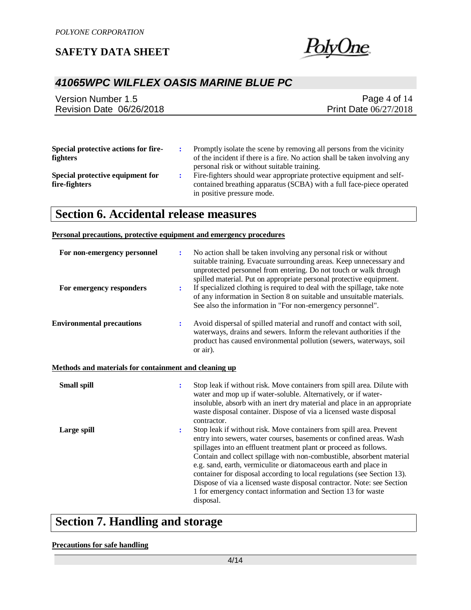

# *41065WPC WILFLEX OASIS MARINE BLUE PC*

| Version Number 1.5       | Page 4 of $14$               |
|--------------------------|------------------------------|
| Revision Date 06/26/2018 | <b>Print Date 06/27/2018</b> |
|                          |                              |

| Special protective actions for fire- | Promptly isolate the scene by removing all persons from the vicinity       |
|--------------------------------------|----------------------------------------------------------------------------|
| <b>fighters</b>                      | of the incident if there is a fire. No action shall be taken involving any |
|                                      | personal risk or without suitable training.                                |
| Special protective equipment for     | Fire-fighters should wear appropriate protective equipment and self-       |
| fire-fighters                        | contained breathing apparatus (SCBA) with a full face-piece operated       |

in positive pressure mode.

# **Section 6. Accidental release measures**

### **Personal precautions, protective equipment and emergency procedures**

| For non-emergency personnel                           | ÷                    | No action shall be taken involving any personal risk or without<br>suitable training. Evacuate surrounding areas. Keep unnecessary and<br>unprotected personnel from entering. Do not touch or walk through<br>spilled material. Put on appropriate personal protective equipment.                                                                                                                                                                                                                                                                                                             |
|-------------------------------------------------------|----------------------|------------------------------------------------------------------------------------------------------------------------------------------------------------------------------------------------------------------------------------------------------------------------------------------------------------------------------------------------------------------------------------------------------------------------------------------------------------------------------------------------------------------------------------------------------------------------------------------------|
| For emergency responders                              | ÷                    | If specialized clothing is required to deal with the spillage, take note<br>of any information in Section 8 on suitable and unsuitable materials.<br>See also the information in "For non-emergency personnel".                                                                                                                                                                                                                                                                                                                                                                                |
| <b>Environmental precautions</b>                      | ÷                    | Avoid dispersal of spilled material and runoff and contact with soil,<br>waterways, drains and sewers. Inform the relevant authorities if the<br>product has caused environmental pollution (sewers, waterways, soil<br>or air).                                                                                                                                                                                                                                                                                                                                                               |
| Methods and materials for containment and cleaning up |                      |                                                                                                                                                                                                                                                                                                                                                                                                                                                                                                                                                                                                |
| <b>Small spill</b>                                    | $\ddot{\phantom{a}}$ | Stop leak if without risk. Move containers from spill area. Dilute with<br>water and mop up if water-soluble. Alternatively, or if water-<br>insoluble, absorb with an inert dry material and place in an appropriate<br>waste disposal container. Dispose of via a licensed waste disposal<br>contractor.                                                                                                                                                                                                                                                                                     |
| Large spill                                           | $\ddot{\cdot}$       | Stop leak if without risk. Move containers from spill area. Prevent<br>entry into sewers, water courses, basements or confined areas. Wash<br>spillages into an effluent treatment plant or proceed as follows.<br>Contain and collect spillage with non-combustible, absorbent material<br>e.g. sand, earth, vermiculite or diatomaceous earth and place in<br>container for disposal according to local regulations (see Section 13).<br>Dispose of via a licensed waste disposal contractor. Note: see Section<br>1 for emergency contact information and Section 13 for waste<br>disposal. |

# **Section 7. Handling and storage**

### **Precautions for safe handling**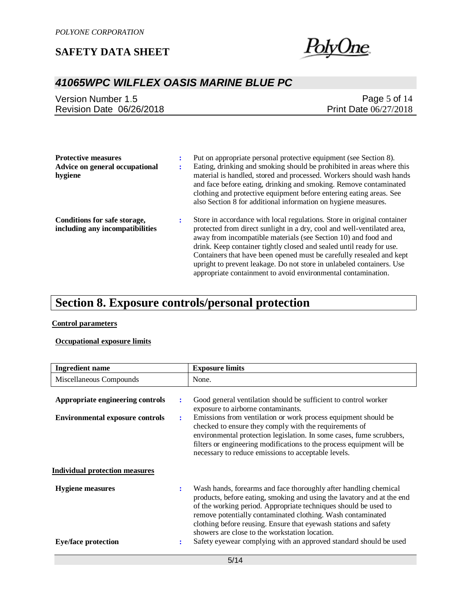

# *41065WPC WILFLEX OASIS MARINE BLUE PC*

| Version Number 1.5       | Page 5 of $14$               |
|--------------------------|------------------------------|
| Revision Date 06/26/2018 | <b>Print Date 06/27/2018</b> |

| <b>Protective measures</b><br>Advice on general occupational<br>hygiene | Put on appropriate personal protective equipment (see Section 8).<br>Eating, drinking and smoking should be prohibited in areas where this<br>material is handled, stored and processed. Workers should wash hands                                                                                                                                                                                                                                                                                             |
|-------------------------------------------------------------------------|----------------------------------------------------------------------------------------------------------------------------------------------------------------------------------------------------------------------------------------------------------------------------------------------------------------------------------------------------------------------------------------------------------------------------------------------------------------------------------------------------------------|
|                                                                         | and face before eating, drinking and smoking. Remove contaminated<br>clothing and protective equipment before entering eating areas. See<br>also Section 8 for additional information on hygiene measures.                                                                                                                                                                                                                                                                                                     |
| Conditions for safe storage,<br>including any incompatibilities         | Store in accordance with local regulations. Store in original container<br>protected from direct sunlight in a dry, cool and well-ventilated area,<br>away from incompatible materials (see Section 10) and food and<br>drink. Keep container tightly closed and sealed until ready for use.<br>Containers that have been opened must be carefully resealed and kept<br>upright to prevent leakage. Do not store in unlabeled containers. Use<br>appropriate containment to avoid environmental contamination. |

# **Section 8. Exposure controls/personal protection**

### **Control parameters**

### **Occupational exposure limits**

| <b>Ingredient name</b>                                                          |   | <b>Exposure limits</b>                                                                                                                                                                                                                                                                                                                                                                                                                                                  |
|---------------------------------------------------------------------------------|---|-------------------------------------------------------------------------------------------------------------------------------------------------------------------------------------------------------------------------------------------------------------------------------------------------------------------------------------------------------------------------------------------------------------------------------------------------------------------------|
| Miscellaneous Compounds                                                         |   | None.                                                                                                                                                                                                                                                                                                                                                                                                                                                                   |
| Appropriate engineering controls<br>÷<br><b>Environmental exposure controls</b> | ÷ | Good general ventilation should be sufficient to control worker<br>exposure to airborne contaminants.<br>Emissions from ventilation or work process equipment should be<br>checked to ensure they comply with the requirements of<br>environmental protection legislation. In some cases, fume scrubbers,<br>filters or engineering modifications to the process equipment will be<br>necessary to reduce emissions to acceptable levels.                               |
| <b>Individual protection measures</b>                                           |   |                                                                                                                                                                                                                                                                                                                                                                                                                                                                         |
| <b>Hygiene</b> measures<br>÷<br><b>Eye/face protection</b>                      | : | Wash hands, forearms and face thoroughly after handling chemical<br>products, before eating, smoking and using the lavatory and at the end<br>of the working period. Appropriate techniques should be used to<br>remove potentially contaminated clothing. Wash contaminated<br>clothing before reusing. Ensure that eyewash stations and safety<br>showers are close to the workstation location.<br>Safety eyewear complying with an approved standard should be used |
|                                                                                 |   |                                                                                                                                                                                                                                                                                                                                                                                                                                                                         |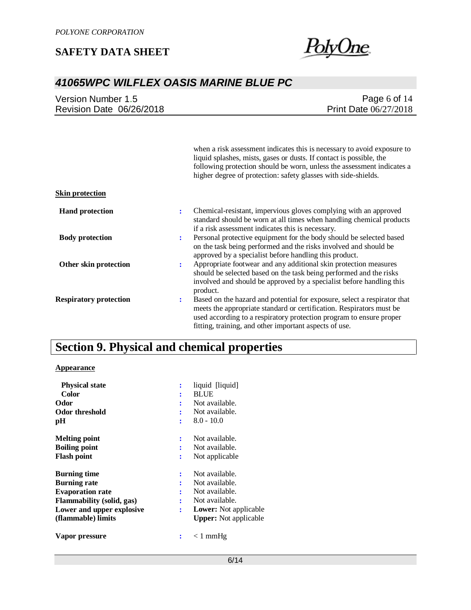

# *41065WPC WILFLEX OASIS MARINE BLUE PC*

|                          | Page 6 of $14$               |
|--------------------------|------------------------------|
| Revision Date 06/26/2018 | <b>Print Date 06/27/2018</b> |

|                               |   | when a risk assessment indicates this is necessary to avoid exposure to<br>liquid splashes, mists, gases or dusts. If contact is possible, the<br>following protection should be worn, unless the assessment indicates a<br>higher degree of protection: safety glasses with side-shields. |
|-------------------------------|---|--------------------------------------------------------------------------------------------------------------------------------------------------------------------------------------------------------------------------------------------------------------------------------------------|
| <b>Skin protection</b>        |   |                                                                                                                                                                                                                                                                                            |
| <b>Hand protection</b>        | ÷ | Chemical-resistant, impervious gloves complying with an approved<br>standard should be worn at all times when handling chemical products<br>if a risk assessment indicates this is necessary.                                                                                              |
| <b>Body protection</b>        | ÷ | Personal protective equipment for the body should be selected based<br>on the task being performed and the risks involved and should be<br>approved by a specialist before handling this product.                                                                                          |
| Other skin protection         | ÷ | Appropriate footwear and any additional skin protection measures<br>should be selected based on the task being performed and the risks<br>involved and should be approved by a specialist before handling this<br>product.                                                                 |
| <b>Respiratory protection</b> | ÷ | Based on the hazard and potential for exposure, select a respirator that<br>meets the appropriate standard or certification. Respirators must be<br>used according to a respiratory protection program to ensure proper<br>fitting, training, and other important aspects of use.          |

# **Section 9. Physical and chemical properties**

### **Appearance**

| <b>Physical state</b>            | ፡ | liquid [liquid]              |
|----------------------------------|---|------------------------------|
| Color                            | ፡ | <b>BLUE</b>                  |
| Odor                             | ٠ | Not available.               |
| Odor threshold                   |   | Not available.               |
| pН                               | ÷ | $8.0 - 10.0$                 |
| <b>Melting point</b>             | ÷ | Not available.               |
| <b>Boiling point</b>             | ÷ | Not available.               |
| <b>Flash point</b>               | ÷ | Not applicable               |
| <b>Burning time</b>              | ÷ | Not available.               |
| <b>Burning rate</b>              | ÷ | Not available.               |
| <b>Evaporation rate</b>          | ÷ | Not available.               |
| <b>Flammability</b> (solid, gas) | ٠ | Not available.               |
| Lower and upper explosive        | ÷ | <b>Lower:</b> Not applicable |
| (flammable) limits               |   | <b>Upper:</b> Not applicable |
| Vapor pressure                   |   | $\langle$ 1 mmHg             |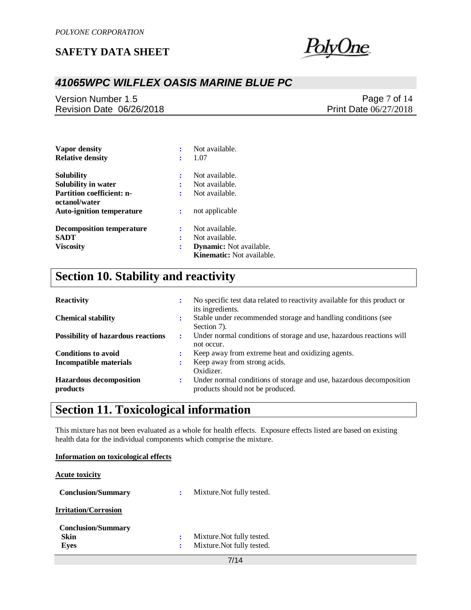

# *41065WPC WILFLEX OASIS MARINE BLUE PC*

Version Number 1.5 Revision Date 06/26/2018

Page 7 of 14 Print Date 06/27/2018

| Vapor density<br><b>Relative density</b>          | ÷<br>፡         | Not available.<br>1.07                                             |
|---------------------------------------------------|----------------|--------------------------------------------------------------------|
| <b>Solubility</b>                                 | ÷              | Not available.                                                     |
| Solubility in water                               | ÷              | Not available.                                                     |
| <b>Partition coefficient: n-</b>                  | ÷              | Not available.                                                     |
| octanol/water<br><b>Auto-ignition temperature</b> | :              | not applicable                                                     |
| <b>Decomposition temperature</b>                  | ፡              | Not available.                                                     |
| <b>SADT</b>                                       | ፡              | Not available.                                                     |
| <b>Viscosity</b>                                  | $\ddot{\cdot}$ | <b>Dynamic:</b> Not available.<br><b>Kinematic:</b> Not available. |

# **Section 10. Stability and reactivity**

| <b>Reactivity</b>                          | $\bullet$ | No specific test data related to reactivity available for this product or<br>its ingredients.           |
|--------------------------------------------|-----------|---------------------------------------------------------------------------------------------------------|
| <b>Chemical stability</b>                  | $\bullet$ | Stable under recommended storage and handling conditions (see<br>Section 7).                            |
| <b>Possibility of hazardous reactions</b>  | ÷         | Under normal conditions of storage and use, hazardous reactions will<br>not occur.                      |
| <b>Conditions to avoid</b>                 | $\bullet$ | Keep away from extreme heat and oxidizing agents.                                                       |
| <b>Incompatible materials</b>              |           | Keep away from strong acids.<br>Oxidizer.                                                               |
| <b>Hazardous decomposition</b><br>products | ÷         | Under normal conditions of storage and use, hazardous decomposition<br>products should not be produced. |

# **Section 11. Toxicological information**

This mixture has not been evaluated as a whole for health effects. Exposure effects listed are based on existing health data for the individual components which comprise the mixture.

| Information on toxicological effects |    |                            |
|--------------------------------------|----|----------------------------|
| <b>Acute toxicity</b>                |    |                            |
| <b>Conclusion/Summary</b>            | ٠. | Mixture. Not fully tested. |
| <b>Irritation/Corrosion</b>          |    |                            |
| <b>Conclusion/Summary</b>            |    |                            |
| Skin                                 | ፡  | Mixture. Not fully tested. |
| Eyes                                 | ٠  | Mixture. Not fully tested. |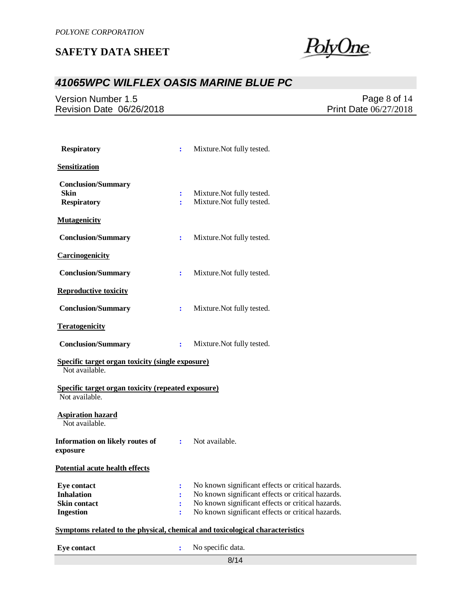<u>PolyOne</u>

# *41065WPC WILFLEX OASIS MARINE BLUE PC*

Version Number 1.5 Revision Date 06/26/2018

Page 8 of 14 Print Date 06/27/2018

| <b>Respiratory</b>                                                                 | ÷                              | Mixture. Not fully tested.                                                                                                                                                                                       |
|------------------------------------------------------------------------------------|--------------------------------|------------------------------------------------------------------------------------------------------------------------------------------------------------------------------------------------------------------|
| Sensitization                                                                      |                                |                                                                                                                                                                                                                  |
| <b>Conclusion/Summary</b><br><b>Skin</b><br><b>Respiratory</b>                     | ÷<br>÷                         | Mixture. Not fully tested.<br>Mixture. Not fully tested.                                                                                                                                                         |
| <b>Mutagenicity</b>                                                                |                                |                                                                                                                                                                                                                  |
| <b>Conclusion/Summary</b>                                                          | $\ddot{\cdot}$                 | Mixture. Not fully tested.                                                                                                                                                                                       |
| Carcinogenicity                                                                    |                                |                                                                                                                                                                                                                  |
| <b>Conclusion/Summary</b>                                                          | $\ddot{\cdot}$                 | Mixture. Not fully tested.                                                                                                                                                                                       |
| <b>Reproductive toxicity</b>                                                       |                                |                                                                                                                                                                                                                  |
| <b>Conclusion/Summary</b>                                                          | ÷                              | Mixture. Not fully tested.                                                                                                                                                                                       |
| <b>Teratogenicity</b>                                                              |                                |                                                                                                                                                                                                                  |
| <b>Conclusion/Summary</b>                                                          | $\ddot{\phantom{a}}$           | Mixture. Not fully tested.                                                                                                                                                                                       |
| Specific target organ toxicity (single exposure)<br>Not available.                 |                                |                                                                                                                                                                                                                  |
| <b>Specific target organ toxicity (repeated exposure)</b><br>Not available.        |                                |                                                                                                                                                                                                                  |
| <b>Aspiration hazard</b><br>Not available.                                         |                                |                                                                                                                                                                                                                  |
| Information on likely routes of<br>exposure                                        |                                | : Not available.                                                                                                                                                                                                 |
| <b>Potential acute health effects</b>                                              |                                |                                                                                                                                                                                                                  |
| <b>Eve contact</b><br><b>Inhalation</b><br><b>Skin contact</b><br><b>Ingestion</b> | $\ddot{\phantom{a}}$<br>፡<br>÷ | No known significant effects or critical hazards.<br>No known significant effects or critical hazards.<br>No known significant effects or critical hazards.<br>No known significant effects or critical hazards. |
|                                                                                    |                                | Symptoms related to the physical, chemical and toxicological characteristics                                                                                                                                     |
| <b>Eye contact</b>                                                                 | $\ddot{\cdot}$                 | No specific data.                                                                                                                                                                                                |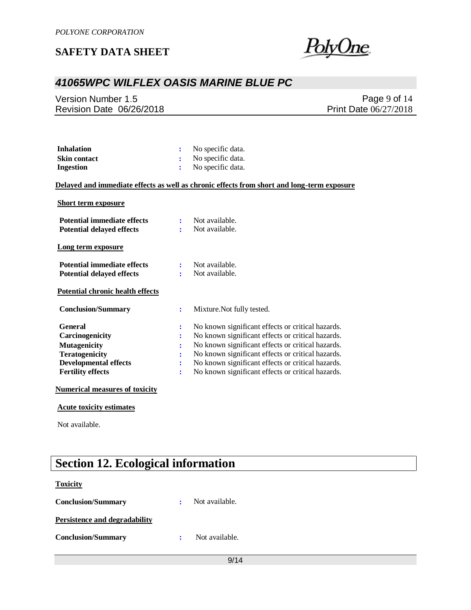

# *41065WPC WILFLEX OASIS MARINE BLUE PC*

Version Number 1.5 Revision Date 06/26/2018

Page 9 of 14 Print Date 06/27/2018

| <b>Inhalation</b>   | $\therefore$ No specific data. |
|---------------------|--------------------------------|
| <b>Skin contact</b> | $\therefore$ No specific data. |
| Ingestion           | : No specific data.            |

### **Delayed and immediate effects as well as chronic effects from short and long-term exposure**

### **Short term exposure**

| <b>Potential immediate effects</b><br><b>Potential delayed effects</b> | ÷<br>÷         | Not available.<br>Not available.                  |
|------------------------------------------------------------------------|----------------|---------------------------------------------------|
| Long term exposure                                                     |                |                                                   |
| <b>Potential immediate effects</b><br><b>Potential delayed effects</b> | ÷              | Not available.<br>Not available.                  |
| <b>Potential chronic health effects</b>                                |                |                                                   |
| <b>Conclusion/Summary</b>                                              | $\ddot{\cdot}$ | Mixture. Not fully tested.                        |
| <b>General</b>                                                         | :              | No known significant effects or critical hazards. |
| <b>Carcinogenicity</b>                                                 | :              | No known significant effects or critical hazards. |
| <b>Mutagenicity</b>                                                    | $\ddot{\cdot}$ | No known significant effects or critical hazards. |
| <b>Teratogenicity</b>                                                  | $\ddot{\cdot}$ | No known significant effects or critical hazards. |
| <b>Developmental effects</b>                                           | ÷              | No known significant effects or critical hazards. |
| <b>Fertility effects</b>                                               | $\ddot{\cdot}$ | No known significant effects or critical hazards. |
| <b>Numerical measures of toxicity</b>                                  |                |                                                   |

### **Acute toxicity estimates**

Not available.

# **Section 12. Ecological information**

### **Toxicity**

| <b>Conclusion/Summary</b>            | Not available. |
|--------------------------------------|----------------|
| <b>Persistence and degradability</b> |                |
| <b>Conclusion/Summary</b>            | Not available. |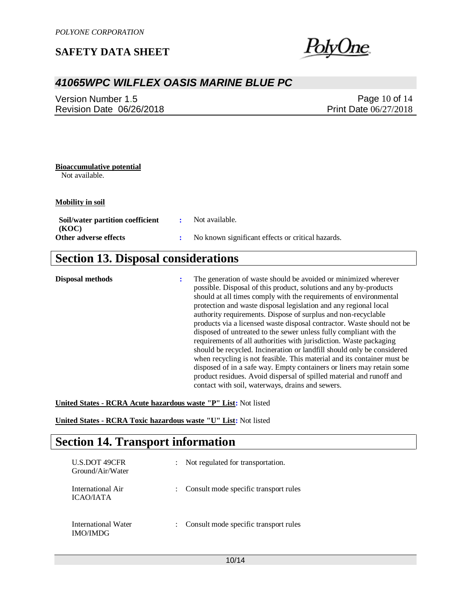

## *41065WPC WILFLEX OASIS MARINE BLUE PC*

Version Number 1.5 Revision Date 06/26/2018

Page 10 of 14 Print Date 06/27/2018

### **Bioaccumulative potential**

Not available.

**Mobility in soil**

| Soil/water partition coefficient | Not available.                                    |
|----------------------------------|---------------------------------------------------|
| (KOC)<br>Other adverse effects   | No known significant effects or critical hazards. |
|                                  |                                                   |

# **Section 13. Disposal considerations**

**Disposal methods :** The generation of waste should be avoided or minimized wherever possible. Disposal of this product, solutions and any by-products should at all times comply with the requirements of environmental protection and waste disposal legislation and any regional local authority requirements. Dispose of surplus and non-recyclable products via a licensed waste disposal contractor. Waste should not be disposed of untreated to the sewer unless fully compliant with the requirements of all authorities with jurisdiction. Waste packaging should be recycled. Incineration or landfill should only be considered when recycling is not feasible. This material and its container must be disposed of in a safe way. Empty containers or liners may retain some product residues. Avoid dispersal of spilled material and runoff and contact with soil, waterways, drains and sewers.

**United States - RCRA Acute hazardous waste "P" List:** Not listed

**United States - RCRA Toxic hazardous waste "U" List:** Not listed

# **Section 14. Transport information**

| <b>U.S.DOT 49CFR</b><br>Ground/Air/Water | : Not regulated for transportation.   |
|------------------------------------------|---------------------------------------|
| International Air<br><b>ICAO/JATA</b>    | Consult mode specific transport rules |
| International Water<br><b>IMO/IMDG</b>   | Consult mode specific transport rules |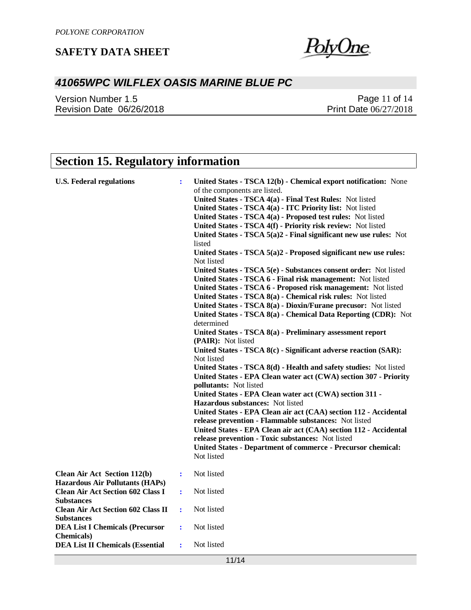

# *41065WPC WILFLEX OASIS MARINE BLUE PC*

Version Number 1.5 Revision Date 06/26/2018

Page 11 of 14 Print Date 06/27/2018

# **Section 15. Regulatory information**

| <b>U.S. Federal regulations</b>                                               | ÷              | United States - TSCA 12(b) - Chemical export notification: None<br>of the components are listed.<br>United States - TSCA 4(a) - Final Test Rules: Not listed<br>United States - TSCA 4(a) - ITC Priority list: Not listed<br>United States - TSCA 4(a) - Proposed test rules: Not listed<br>United States - TSCA 4(f) - Priority risk review: Not listed<br>United States - TSCA 5(a)2 - Final significant new use rules: Not<br>listed<br>United States - TSCA 5(a)2 - Proposed significant new use rules:<br>Not listed<br>United States - TSCA 5(e) - Substances consent order: Not listed<br>United States - TSCA 6 - Final risk management: Not listed<br>United States - TSCA 6 - Proposed risk management: Not listed<br>United States - TSCA 8(a) - Chemical risk rules: Not listed<br>United States - TSCA 8(a) - Dioxin/Furane precusor: Not listed<br>United States - TSCA 8(a) - Chemical Data Reporting (CDR): Not<br>determined<br>United States - TSCA 8(a) - Preliminary assessment report<br>(PAIR): Not listed<br>United States - TSCA 8(c) - Significant adverse reaction (SAR):<br>Not listed<br>United States - TSCA 8(d) - Health and safety studies: Not listed<br>United States - EPA Clean water act (CWA) section 307 - Priority<br><b>pollutants:</b> Not listed<br>United States - EPA Clean water act (CWA) section 311 -<br>Hazardous substances: Not listed<br>United States - EPA Clean air act (CAA) section 112 - Accidental |
|-------------------------------------------------------------------------------|----------------|----------------------------------------------------------------------------------------------------------------------------------------------------------------------------------------------------------------------------------------------------------------------------------------------------------------------------------------------------------------------------------------------------------------------------------------------------------------------------------------------------------------------------------------------------------------------------------------------------------------------------------------------------------------------------------------------------------------------------------------------------------------------------------------------------------------------------------------------------------------------------------------------------------------------------------------------------------------------------------------------------------------------------------------------------------------------------------------------------------------------------------------------------------------------------------------------------------------------------------------------------------------------------------------------------------------------------------------------------------------------------------------------------------------------------------------------------------------|
|                                                                               |                | release prevention - Flammable substances: Not listed                                                                                                                                                                                                                                                                                                                                                                                                                                                                                                                                                                                                                                                                                                                                                                                                                                                                                                                                                                                                                                                                                                                                                                                                                                                                                                                                                                                                          |
|                                                                               |                | United States - EPA Clean air act (CAA) section 112 - Accidental<br>release prevention - Toxic substances: Not listed<br>United States - Department of commerce - Precursor chemical:<br>Not listed                                                                                                                                                                                                                                                                                                                                                                                                                                                                                                                                                                                                                                                                                                                                                                                                                                                                                                                                                                                                                                                                                                                                                                                                                                                            |
| <b>Clean Air Act Section 112(b)</b><br><b>Hazardous Air Pollutants (HAPs)</b> | $\ddot{\cdot}$ | Not listed                                                                                                                                                                                                                                                                                                                                                                                                                                                                                                                                                                                                                                                                                                                                                                                                                                                                                                                                                                                                                                                                                                                                                                                                                                                                                                                                                                                                                                                     |
| <b>Clean Air Act Section 602 Class I</b><br><b>Substances</b>                 | ÷              | Not listed                                                                                                                                                                                                                                                                                                                                                                                                                                                                                                                                                                                                                                                                                                                                                                                                                                                                                                                                                                                                                                                                                                                                                                                                                                                                                                                                                                                                                                                     |
| <b>Clean Air Act Section 602 Class II</b><br><b>Substances</b>                | ÷              | Not listed                                                                                                                                                                                                                                                                                                                                                                                                                                                                                                                                                                                                                                                                                                                                                                                                                                                                                                                                                                                                                                                                                                                                                                                                                                                                                                                                                                                                                                                     |
| <b>DEA List I Chemicals (Precursor</b><br><b>Chemicals</b> )                  | ÷              | Not listed                                                                                                                                                                                                                                                                                                                                                                                                                                                                                                                                                                                                                                                                                                                                                                                                                                                                                                                                                                                                                                                                                                                                                                                                                                                                                                                                                                                                                                                     |
| <b>DEA List II Chemicals (Essential</b>                                       | ÷              | Not listed                                                                                                                                                                                                                                                                                                                                                                                                                                                                                                                                                                                                                                                                                                                                                                                                                                                                                                                                                                                                                                                                                                                                                                                                                                                                                                                                                                                                                                                     |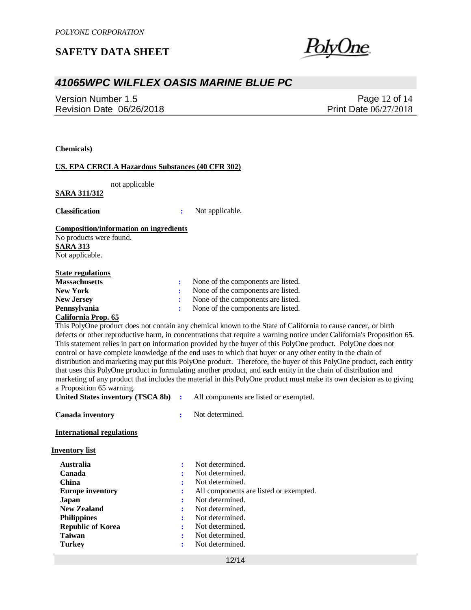## *41065WPC WILFLEX OASIS MARINE BLUE PC*

Version Number 1.5 Revision Date 06/26/2018

Page 12 of 14 Print Date 06/27/2018

**Chemicals)**

### **US. EPA CERCLA Hazardous Substances (40 CFR 302)**

not applicable

### **SARA 311/312**

**Classification :** Not applicable.

### **Composition/information on ingredients**

No products were found. **SARA 313** Not applicable.

#### **State regulations**

| <b>Massachusetts</b> | None of the components are listed. |  |
|----------------------|------------------------------------|--|
| <b>New York</b>      | None of the components are listed. |  |
| <b>New Jersey</b>    | None of the components are listed. |  |
| <b>Pennsylvania</b>  | None of the components are listed. |  |
|                      |                                    |  |

#### **California Prop. 65**

This PolyOne product does not contain any chemical known to the State of California to cause cancer, or birth defects or other reproductive harm, in concentrations that require a warning notice under California's Proposition 65. This statement relies in part on information provided by the buyer of this PolyOne product. PolyOne does not control or have complete knowledge of the end uses to which that buyer or any other entity in the chain of distribution and marketing may put this PolyOne product. Therefore, the buyer of this PolyOne product, each entity that uses this PolyOne product in formulating another product, and each entity in the chain of distribution and marketing of any product that includes the material in this PolyOne product must make its own decision as to giving a Proposition 65 warning.

| <b>United States inventory (TSCA 8b)</b> |  | All components are listed or exempted. |  |
|------------------------------------------|--|----------------------------------------|--|
|------------------------------------------|--|----------------------------------------|--|

**Canada inventory :** Not determined.

**International regulations**

**Inventory list**

| <b>Australia</b>         |   | Not determined.                        |
|--------------------------|---|----------------------------------------|
| Canada                   | ÷ | Not determined.                        |
| <b>China</b>             | 2 | Not determined.                        |
| <b>Europe inventory</b>  | : | All components are listed or exempted. |
| Japan                    |   | Not determined.                        |
| <b>New Zealand</b>       | ÷ | Not determined.                        |
| <b>Philippines</b>       | ÷ | Not determined.                        |
| <b>Republic of Korea</b> | ÷ | Not determined.                        |
| <b>Taiwan</b>            |   | Not determined.                        |
| <b>Turkey</b>            | ÷ | Not determined.                        |

12/14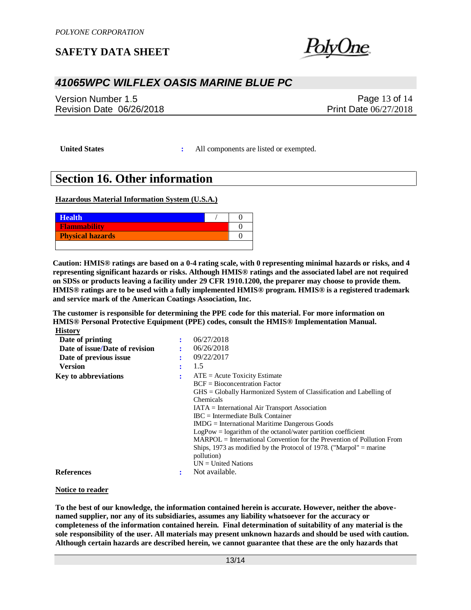## *41065WPC WILFLEX OASIS MARINE BLUE PC*

Version Number 1.5 Revision Date 06/26/2018

Page 13 of 14 Print Date 06/27/2018

**United States :** All components are listed or exempted.

## **Section 16. Other information**

**Hazardous Material Information System (U.S.A.)**

| <b>Health</b>           |  |
|-------------------------|--|
| <b>Flammability</b>     |  |
| <b>Physical hazards</b> |  |
|                         |  |

**Caution: HMIS® ratings are based on a 0-4 rating scale, with 0 representing minimal hazards or risks, and 4 representing significant hazards or risks. Although HMIS® ratings and the associated label are not required on SDSs or products leaving a facility under 29 CFR 1910.1200, the preparer may choose to provide them. HMIS® ratings are to be used with a fully implemented HMIS® program. HMIS® is a registered trademark and service mark of the American Coatings Association, Inc.**

**The customer is responsible for determining the PPE code for this material. For more information on HMIS® Personal Protective Equipment (PPE) codes, consult the HMIS® Implementation Manual. History**

|   | 06/27/2018                                                                          |
|---|-------------------------------------------------------------------------------------|
|   | 06/26/2018                                                                          |
| ٠ | 09/22/2017                                                                          |
|   | 1.5                                                                                 |
| ٠ | $ATE = Acute Toxicity Estimate$                                                     |
|   | $BCF = Bioconcentration Factor$                                                     |
|   | $\text{GHS} = \text{Globally Harmonized System of Classification and Labelling of}$ |
|   | Chemicals                                                                           |
|   | $IATA = International Air Transport Association$                                    |
|   | $\text{IRC}$ = Intermediate Bulk Container                                          |
|   | $IMDG = International\,$ Maritime Dangerous Goods                                   |
|   | $LogPow = logarithm$ of the octanol/water partition coefficient                     |
|   | $MARPOL = International Convention for the Prevention of Pollution From$            |
|   | Ships, 1973 as modified by the Protocol of 1978. ("Marpol" $=$ marine               |
|   | pollution)                                                                          |
|   | $UN = United Nations$                                                               |
|   | Not available.                                                                      |
|   |                                                                                     |

#### **Notice to reader**

**To the best of our knowledge, the information contained herein is accurate. However, neither the abovenamed supplier, nor any of its subsidiaries, assumes any liability whatsoever for the accuracy or completeness of the information contained herein. Final determination of suitability of any material is the sole responsibility of the user. All materials may present unknown hazards and should be used with caution. Although certain hazards are described herein, we cannot guarantee that these are the only hazards that**